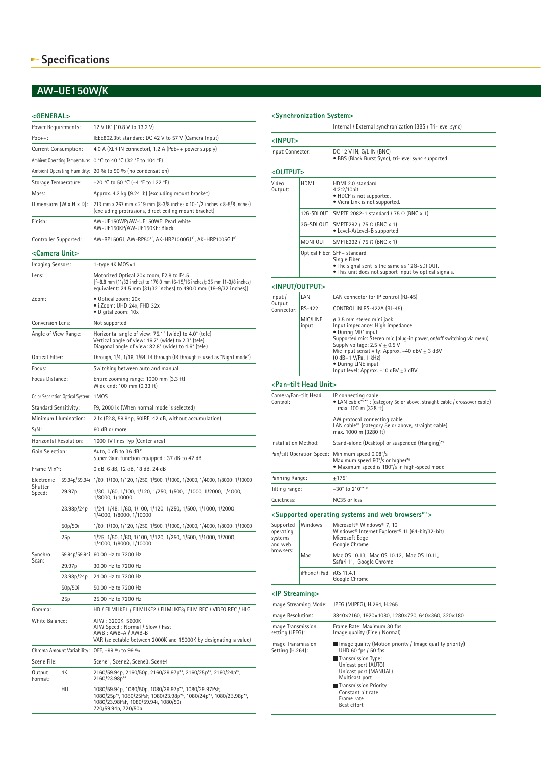## **AW-UE150W/K**

## **<GENERAL>**

| Power Requirements:                           |            | 12 V DC (10.8 V to 13.2 V)                                                                                                                                                                  |  |  |  |
|-----------------------------------------------|------------|---------------------------------------------------------------------------------------------------------------------------------------------------------------------------------------------|--|--|--|
| $PoE++$ :                                     |            | IEEE802.3bt standard: DC 42 V to 57 V (Camera Input)                                                                                                                                        |  |  |  |
| Current Consumption:                          |            | 4.0 A (XLR IN connector), 1.2 A (PoE++ power supply)                                                                                                                                        |  |  |  |
|                                               |            | Ambient Operating Temperature: 0 °C to 40 °C (32 °F to 104 °F)                                                                                                                              |  |  |  |
|                                               |            | Ambient Operating Humidity: 20 % to 90 % (no condensation)                                                                                                                                  |  |  |  |
| Storage Temperature:                          |            | -20 °C to 50 °C (-4 °F to 122 °F)                                                                                                                                                           |  |  |  |
| Mass:                                         |            | Approx. 4.2 kg (9.24 lb) (excluding mount bracket)                                                                                                                                          |  |  |  |
| Dimensions $(W \times H \times D)$ :          |            | 213 mm x 267 mm x 219 mm (8-3/8 inches x 10-1/2 inches x 8-5/8 inches)<br>(excluding protrusions, direct ceiling mount bracket)                                                             |  |  |  |
| Finish:                                       |            | AW-UE150WP/AW-UE150WE: Pearl white<br>AW-UE150KP/AW-UE150KE: Black                                                                                                                          |  |  |  |
| Controller Supported:                         |            | AW-RP150GJ, AW-RP50*1, AK-HRP1000GJ*1, AK-HRP1005GJ*1                                                                                                                                       |  |  |  |
| <camera unit=""></camera>                     |            |                                                                                                                                                                                             |  |  |  |
| Imaging Sensors:                              |            | 1-type 4K MOS×1                                                                                                                                                                             |  |  |  |
| Lens:                                         |            | Motorized Optical 20x zoom, F2.8 to F4.5<br>[f=8.8 mm (11/32 inches) to 176.0 mm (6-15/16 inches); 35 mm (1-3/8 inches)<br>equivalent: 24.5 mm (31/32 inches) to 490.0 mm (19-9/32 inches)] |  |  |  |
| Zoom:                                         |            | • Optical zoom: 20x<br>• i.Zoom: UHD 24x, FHD 32x<br>· Digital zoom: 10x                                                                                                                    |  |  |  |
| Conversion Lens:                              |            | Not supported                                                                                                                                                                               |  |  |  |
| Angle of View Range:                          |            | Horizontal angle of view: 75.1° (wide) to 4.0° (tele)<br>Vertical angle of view: 46.7° (wide) to 2.3° (tele)<br>Diagonal angle of view: 82.8° (wide) to 4.6° (tele)                         |  |  |  |
| Optical Filter:                               |            | Through, 1/4, 1/16, 1/64, IR through (IR through is used as "Night mode")                                                                                                                   |  |  |  |
| Focus:                                        |            | Switching between auto and manual                                                                                                                                                           |  |  |  |
| Focus Distance:                               |            | Entire zooming range: 1000 mm (3.3 ft)<br>Wide end: 100 mm (0.33 ft)                                                                                                                        |  |  |  |
| Color Separation Optical System: 1 MOS        |            |                                                                                                                                                                                             |  |  |  |
| Standard Sensitivity:                         |            | F9, 2000 lx (When normal mode is selected)                                                                                                                                                  |  |  |  |
| Minimum Illumination:                         |            | 2 lx (F2.8, 59.94p, 50IRE, 42 dB, without accumulation)                                                                                                                                     |  |  |  |
| $S/N$ :                                       |            | 60 dB or more                                                                                                                                                                               |  |  |  |
| Horizontal Resolution:                        |            | 1600 TV lines Typ (Center area)                                                                                                                                                             |  |  |  |
| Gain Selection:                               |            | Auto, 0 dB to 36 dB*2<br>Super Gain function equipped : 37 dB to 42 dB                                                                                                                      |  |  |  |
| Frame Mix*3:                                  |            | 0 dB, 6 dB, 12 dB, 18 dB, 24 dB                                                                                                                                                             |  |  |  |
| Electronic                                    |            | 59.94p/59.94i 1/60, 1/100, 1/120, 1/250, 1/500, 1/1000, 1/2000, 1/4000, 1/8000, 1/10000                                                                                                     |  |  |  |
| Shutter<br>Speed:                             | 29.97p     | 1/30, 1/60, 1/100, 1/120, 1/250, 1/500, 1/1000, 1/2000, 1/4000,<br>1/8000, 1/10000                                                                                                          |  |  |  |
|                                               | 23.98p/24p | 1/24, 1/48, 1/60, 1/100, 1/120, 1/250, 1/500, 1/1000, 1/2000,<br>1/4000, 1/8000, 1/10000                                                                                                    |  |  |  |
|                                               | 50p/50i    | 1/60, 1/100, 1/120, 1/250, 1/500, 1/1000, 1/2000, 1/4000, 1/8000, 1/10000                                                                                                                   |  |  |  |
|                                               | 25p        | 1/25, 1/50, 1/60, 1/100, 1/120, 1/250, 1/500, 1/1000, 1/2000,<br>1/4000, 1/8000, 1/10000                                                                                                    |  |  |  |
| Synchro                                       |            | 59.94p/59.94i 60.00 Hz to 7200 Hz                                                                                                                                                           |  |  |  |
| Scan:                                         | 29.97p     | 30.00 Hz to 7200 Hz                                                                                                                                                                         |  |  |  |
|                                               | 23.98p/24p | 24.00 Hz to 7200 Hz                                                                                                                                                                         |  |  |  |
|                                               | 50p/50i    | 50.00 Hz to 7200 Hz                                                                                                                                                                         |  |  |  |
|                                               | 25p        | 25.00 Hz to 7200 Hz                                                                                                                                                                         |  |  |  |
| Gamma:                                        |            | HD / FILMLIKE1 / FILMLIKE2 / FILMLIKE3/ FILM REC / VIDEO REC / HLG                                                                                                                          |  |  |  |
| White Balance:                                |            | ATW: 3200K, 5600K<br>ATW Speed: Normal / Slow / Fast<br>AWB: AWB-A / AWB-B<br>VAR (selectable between 2000K and 15000K by designating a value)                                              |  |  |  |
| Chroma Amount Variability: OFF, -99 % to 99 % |            |                                                                                                                                                                                             |  |  |  |
| Scene File:                                   |            | Scene1, Scene2, Scene3, Scene4                                                                                                                                                              |  |  |  |
| Output<br>Format:                             | 4Κ         | 2160/59.94p, 2160/50p, 2160/29.97p*4, 2160/25p*4, 2160/24p*4,<br>2160/23.98p*4                                                                                                              |  |  |  |
|                                               | HD         | 1080/59.94p, 1080/50p, 1080/29.97p*4, 1080/29.97PsF,<br>1080/25p*4, 1080/25PsF, 1080/23.98p*5, 1080/24p*4, 1080/23.98p*4,<br>1080/23.98PsF, 1080/59.94i, 1080/50i,<br>720/59.94p, 720/50p   |  |  |  |

|                                                           |                                       | Internal / External synchronization (BBS / Tri-level sync)                                                                                                                                                                                                                                                                                             |  |  |
|-----------------------------------------------------------|---------------------------------------|--------------------------------------------------------------------------------------------------------------------------------------------------------------------------------------------------------------------------------------------------------------------------------------------------------------------------------------------------------|--|--|
| <input/>                                                  |                                       |                                                                                                                                                                                                                                                                                                                                                        |  |  |
| Input Connector:                                          |                                       | DC 12 V IN, G/L IN (BNC)<br>· BBS (Black Burst Sync), tri-level sync supported                                                                                                                                                                                                                                                                         |  |  |
| <output></output>                                         |                                       |                                                                                                                                                                                                                                                                                                                                                        |  |  |
| Video<br>Output:                                          | HDMI                                  | HDMI 2.0 standard<br>4:2:2/10bit<br>• HDCP is not supported.<br>• Viera Link is not supported.                                                                                                                                                                                                                                                         |  |  |
|                                                           |                                       | 12G-SDI OUT SMPTE 2082-1 standard / 75 Ω (BNC x 1)                                                                                                                                                                                                                                                                                                     |  |  |
|                                                           |                                       | 3G-SDI OUT SMPTE292 / 75 Ω (BNC x 1)<br>• Level-A/Level-B supported                                                                                                                                                                                                                                                                                    |  |  |
|                                                           | MONI OUT                              | SMPTE292 / 75 $\Omega$ (BNC x 1)                                                                                                                                                                                                                                                                                                                       |  |  |
|                                                           |                                       | Optical Fiber SFP+ standard<br>Single Fiber<br>• The signal sent is the same as 12G-SDI OUT.<br>• This unit does not support input by optical signals.                                                                                                                                                                                                 |  |  |
| <input output=""/>                                        |                                       |                                                                                                                                                                                                                                                                                                                                                        |  |  |
| Input/                                                    | LAN                                   | LAN connector for IP control (RJ-45)                                                                                                                                                                                                                                                                                                                   |  |  |
| Output<br>Connector:                                      | RS-422                                | CONTROL IN RS-422A (RJ-45)                                                                                                                                                                                                                                                                                                                             |  |  |
|                                                           | MIC/LINE<br>input                     | ø 3.5 mm stereo mini jack<br>Input impedance: High impedance<br>• During MIC input<br>Supported mic: Stereo mic (plug-in power, on/off switching via menu)<br>Supply voltage: $2.5$ V $\pm$ 0.5 V<br>Mic input sensitivity: Approx. $-40$ dBV $\pm$ 3 dBV<br>(0 dB=1 V/Pa, 1 kHz)<br>• During LINE input<br>Input level: Approx. $-10$ dBV $\pm 3$ dBV |  |  |
|                                                           | <pan-tilt head="" unit=""></pan-tilt> |                                                                                                                                                                                                                                                                                                                                                        |  |  |
| Camera/Pan-tilt Head<br>Control:                          |                                       | IP connecting cable<br>• LAN cable*6*7: (category 5e or above, straight cable / crossover cable)<br>max. 100 m (328 ft)                                                                                                                                                                                                                                |  |  |
|                                                           |                                       | AW protocol connecting cable<br>LAN cable* (category 5e or above, straight cable)<br>max. 1000 m (3280 ft)                                                                                                                                                                                                                                             |  |  |
| Installation Method:                                      |                                       | Stand-alone (Desktop) or suspended (Hanging)* <sup>8</sup>                                                                                                                                                                                                                                                                                             |  |  |
|                                                           |                                       | Pan/tilt Operation Speed: Minimum speed 0.08°/s<br>Maximum speed 60°/s or higher* <sup>9</sup><br>· Maximum speed is 180°/s in high-speed mode                                                                                                                                                                                                         |  |  |
| Panning Range:                                            |                                       | ±175°                                                                                                                                                                                                                                                                                                                                                  |  |  |
| Tilting range:                                            |                                       | -30° to 210°*10                                                                                                                                                                                                                                                                                                                                        |  |  |
| Quietness:                                                |                                       | NC35 or less                                                                                                                                                                                                                                                                                                                                           |  |  |
|                                                           |                                       | <supported and="" browsers*11="" operating="" systems="" web=""></supported>                                                                                                                                                                                                                                                                           |  |  |
| Supported<br>operating<br>systems<br>and web<br>browsers: | Windows                               | Microsoft <sup>®</sup> Windows® 7, 10<br>Windows® Internet Explorer® 11 (64-bit/32-bit)<br>Microsoft Edge<br>Google Chrome                                                                                                                                                                                                                             |  |  |
|                                                           | Mac                                   | Mac OS 10.13, Mac OS 10.12, Mac OS 10.11,<br>Safari 11, Google Chrome                                                                                                                                                                                                                                                                                  |  |  |
|                                                           | iPhone/iPad iOS 11.4.1                | Google Chrome                                                                                                                                                                                                                                                                                                                                          |  |  |
| <ip streaming=""></ip>                                    |                                       |                                                                                                                                                                                                                                                                                                                                                        |  |  |
| Image Streaming Mode:                                     |                                       | JPEG (MJPEG), H.264, H.265                                                                                                                                                                                                                                                                                                                             |  |  |
| Image Resolution:                                         |                                       | 3840x2160, 1920x1080, 1280x720, 640x360, 320x180                                                                                                                                                                                                                                                                                                       |  |  |
| Image Transmission<br>setting (JPEG):                     |                                       | Frame Rate: Maximum 30 fps<br>Image quality (Fine / Normal)                                                                                                                                                                                                                                                                                            |  |  |
| Image Transmission<br>Setting (H.264):                    |                                       | $\blacksquare$ Image quality (Motion priority / Image quality priority)<br>UHD 60 fps / 50 fps<br>Transmission Type:<br>Unicast port (AUTO)<br>Unicast port (MANUAL)<br>Multicast port<br>Transmission Priority                                                                                                                                        |  |  |

## **<Synchronization System>**